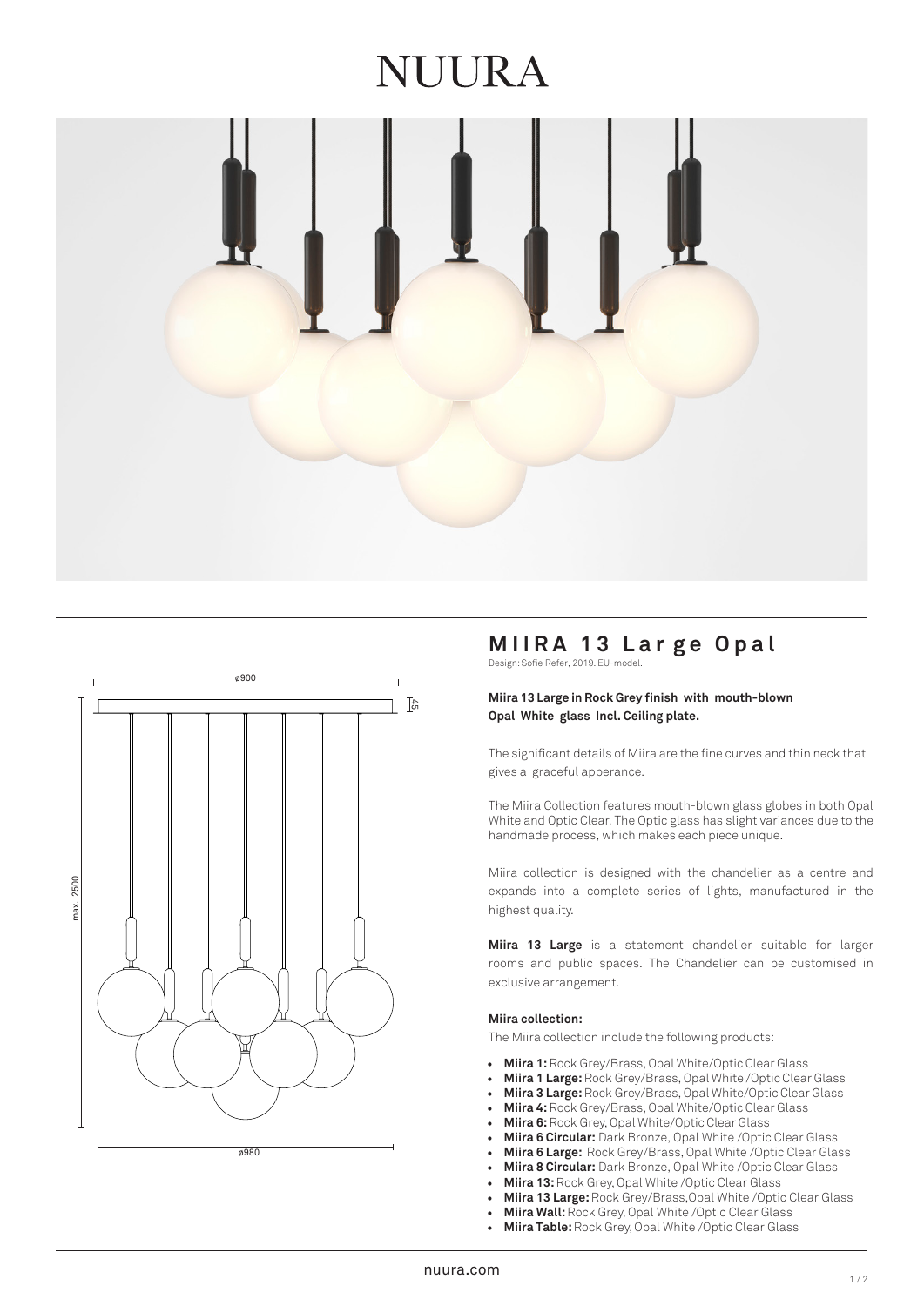# **NUURA**





# **MIIRA 13 Lar ge Opal**

Design: Sofie Refer, 2019. EU-model.

## **Miira 13 Large in Rock Grey finish with mouth-blown Opal White glass Incl. Ceiling plate.**

The significant details of Miira are the fine curves and thin neck that gives a graceful apperance.

The Miira Collection features mouth-blown glass globes in both Opal White and Optic Clear. The Optic glass has slight variances due to the handmade process, which makes each piece unique.

Miira collection is designed with the chandelier as a centre and expands into a complete series of lights, manufactured in the highest quality.

**Miira 13 Large** is a statement chandelier suitable for larger rooms and public spaces. The Chandelier can be customised in exclusive arrangement.

## **Miira collection:**

The Miira collection include the following products:

- **Miira 1:** Rock Grey/Brass, Opal White/Optic Clear Glass
- **Miira 1 Large:** Rock Grey/Brass, Opal White /Optic Clear Glass
- **Miira 3 Large:**Rock Grey/Brass, Opal White/Optic Clear Glass
- **Miira 4:** Rock Grey/Brass, Opal White/Optic Clear Glass
- **Miira 6:**Rock Grey, Opal White/Optic Clear Glass
- **Miira 6 Circular:** Dark Bronze, Opal White /Optic Clear Glass
- **Miira 6 Large:** Rock Grey/Brass, Opal White /Optic Clear Glass
- **Miira 8 Circular:** Dark Bronze, Opal White /Optic Clear Glass
- **Miira 13:** Rock Grey, Opal White /Optic Clear Glass
- **Miira 13 Large:** Rock Grey/Brass,Opal White /Optic Clear Glass
- **Miira Wall:**Rock Grey, Opal White /Optic Clear Glass
- **Miira Table:** Rock Grey, Opal White /Optic Clear Glass